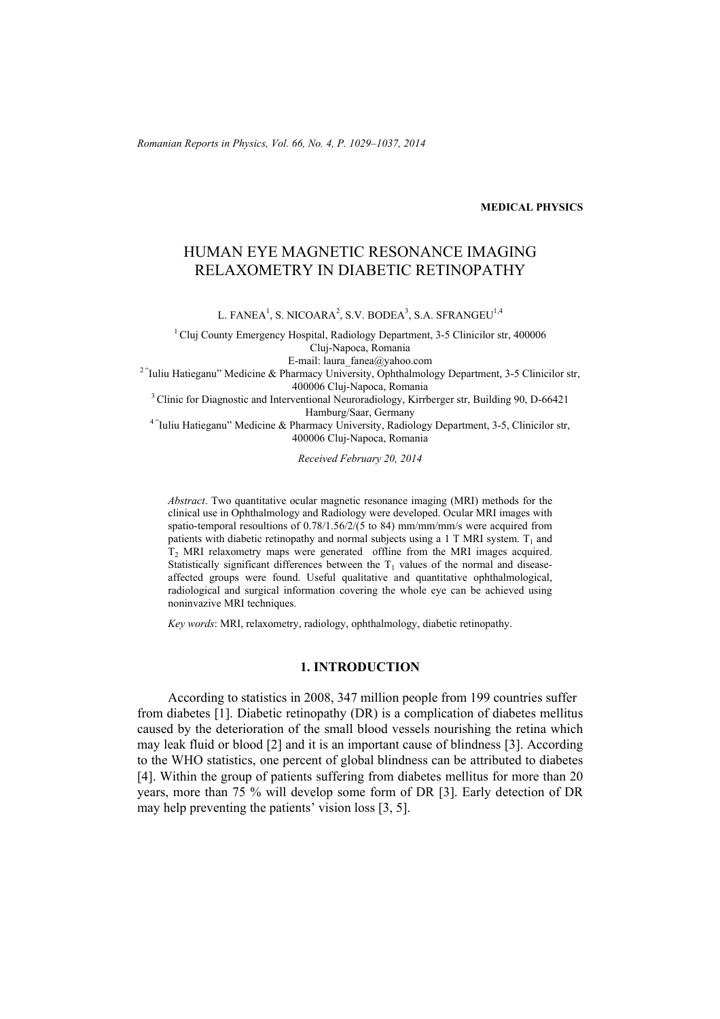*Romanian Reports in Physics, Vol. 66, No. 4, P. 1029–1037, 2014*

# **MEDICAL PHYSICS**

# HUMAN EYE MAGNETIC RESONANCE IMAGING RELAXOMETRY IN DIABETIC RETINOPATHY

L. FANEA<sup>1</sup>, S. NICOARA<sup>2</sup>, S.V. BODEA<sup>3</sup>, S.A. SFRANGEU<sup>1,4</sup>

<sup>1</sup> Cluj County Emergency Hospital, Radiology Department, 3-5 Clinicilor str, 400006 Cluj-Napoca, Romania E-mail: laura\_fanea@yahoo.com<br><sup>2 "</sup>Iuliu Hatieganu" Medicine & Pharmacy University, Ophthalmology Department, 3-5 Clinicilor str, 400006 Cluj-Napoca, Romania 3 Clinic for Diagnostic and Interventional Neuroradiology, Kirrberger str, Building 90, D-66421

Hamburg/Saar, Germany 4 "Iuliu Hatieganu" Medicine & Pharmacy University, Radiology Department, 3-5, Clinicilor str, 400006 Cluj-Napoca, Romania

*Received February 20, 2014* 

*Abstract*. Two quantitative ocular magnetic resonance imaging (MRI) methods for the clinical use in Ophthalmology and Radiology were developed. Ocular MRI images with spatio-temporal resoultions of 0.78/1.56/2/(5 to 84) mm/mm/mm/s were acquired from patients with diabetic retinopathy and normal subjects using a 1 T MRI system.  $T_1$  and T<sub>2</sub> MRI relaxometry maps were generated offline from the MRI images acquired. Statistically significant differences between the  $T_1$  values of the normal and diseaseaffected groups were found. Useful qualitative and quantitative ophthalmological, radiological and surgical information covering the whole eye can be achieved using noninvazive MRI techniques.

*Key words*: MRI, relaxometry, radiology, ophthalmology, diabetic retinopathy.

### **1. INTRODUCTION**

According to statistics in 2008, 347 million people from 199 countries suffer from diabetes [1]. Diabetic retinopathy (DR) is a complication of diabetes mellitus caused by the deterioration of the small blood vessels nourishing the retina which may leak fluid or blood [2] and it is an important cause of blindness [3]. According to the WHO statistics, one percent of global blindness can be attributed to diabetes [4]. Within the group of patients suffering from diabetes mellitus for more than 20 years, more than 75 % will develop some form of DR [3]. Early detection of DR may help preventing the patients' vision loss [3, 5].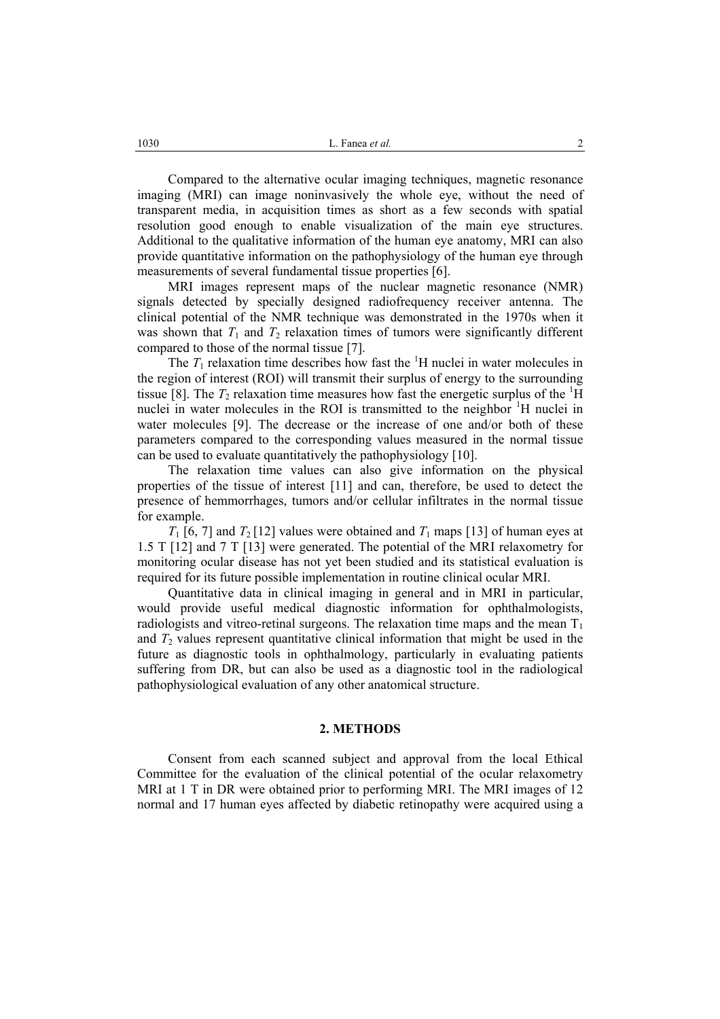Compared to the alternative ocular imaging techniques, magnetic resonance imaging (MRI) can image noninvasively the whole eye, without the need of transparent media, in acquisition times as short as a few seconds with spatial resolution good enough to enable visualization of the main eye structures. Additional to the qualitative information of the human eye anatomy, MRI can also provide quantitative information on the pathophysiology of the human eye through measurements of several fundamental tissue properties [6].

MRI images represent maps of the nuclear magnetic resonance (NMR) signals detected by specially designed radiofrequency receiver antenna. The clinical potential of the NMR technique was demonstrated in the 1970s when it was shown that  $T_1$  and  $T_2$  relaxation times of tumors were significantly different compared to those of the normal tissue [7].

The  $T_1$  relaxation time describes how fast the <sup>1</sup>H nuclei in water molecules in the region of interest (ROI) will transmit their surplus of energy to the surrounding tissue [8]. The  $T_2$  relaxation time measures how fast the energetic surplus of the  ${}^{1}H$ nuclei in water molecules in the ROI is transmitted to the neighbor <sup>1</sup>H nuclei in water molecules [9]. The decrease or the increase of one and/or both of these parameters compared to the corresponding values measured in the normal tissue can be used to evaluate quantitatively the pathophysiology [10].

The relaxation time values can also give information on the physical properties of the tissue of interest [11] and can, therefore, be used to detect the presence of hemmorrhages, tumors and/or cellular infiltrates in the normal tissue for example.

 $T_1$  [6, 7] and  $T_2$  [12] values were obtained and  $T_1$  maps [13] of human eyes at 1.5 T [12] and 7 T [13] were generated. The potential of the MRI relaxometry for monitoring ocular disease has not yet been studied and its statistical evaluation is required for its future possible implementation in routine clinical ocular MRI.

Quantitative data in clinical imaging in general and in MRI in particular, would provide useful medical diagnostic information for ophthalmologists, radiologists and vitreo-retinal surgeons. The relaxation time maps and the mean  $T_1$ and  $T_2$  values represent quantitative clinical information that might be used in the future as diagnostic tools in ophthalmology, particularly in evaluating patients suffering from DR, but can also be used as a diagnostic tool in the radiological pathophysiological evaluation of any other anatomical structure.

### **2. METHODS**

Consent from each scanned subject and approval from the local Ethical Committee for the evaluation of the clinical potential of the ocular relaxometry MRI at 1 T in DR were obtained prior to performing MRI. The MRI images of 12 normal and 17 human eyes affected by diabetic retinopathy were acquired using a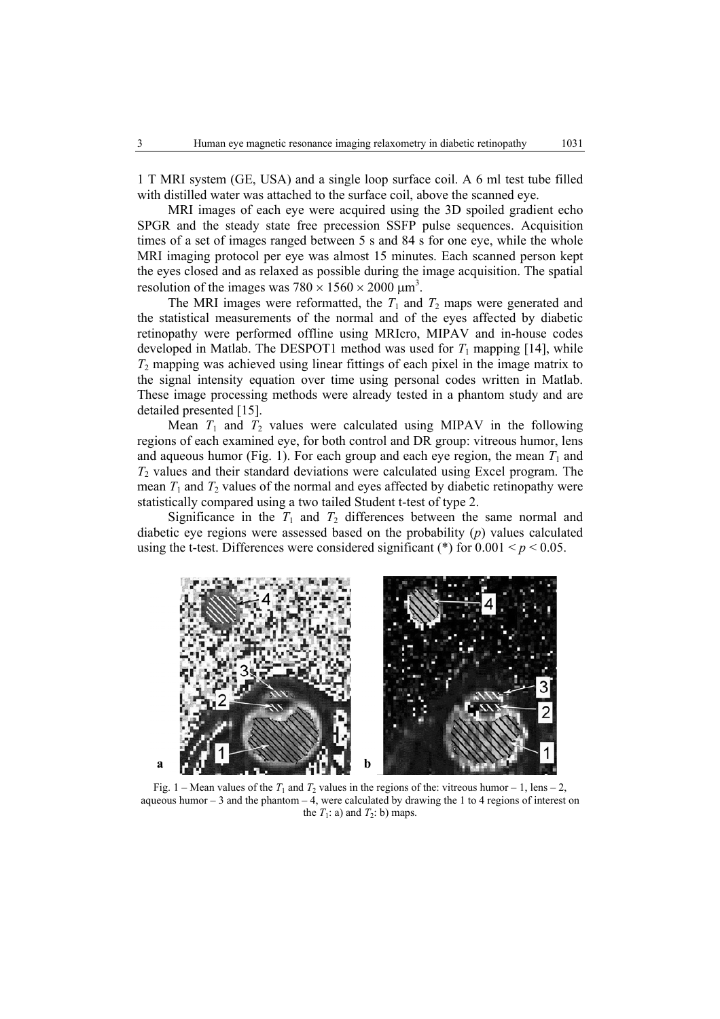1 T MRI system (GE, USA) and a single loop surface coil. A 6 ml test tube filled with distilled water was attached to the surface coil, above the scanned eye.

MRI images of each eye were acquired using the 3D spoiled gradient echo SPGR and the steady state free precession SSFP pulse sequences. Acquisition times of a set of images ranged between 5 s and 84 s for one eye, while the whole MRI imaging protocol per eye was almost 15 minutes. Each scanned person kept the eyes closed and as relaxed as possible during the image acquisition. The spatial resolution of the images was  $780 \times 1560 \times 2000 \mu m^3$ .

The MRI images were reformatted, the  $T_1$  and  $T_2$  maps were generated and the statistical measurements of the normal and of the eyes affected by diabetic retinopathy were performed offline using MRIcro, MIPAV and in-house codes developed in Matlab. The DESPOT1 method was used for  $T_1$  mapping [14], while *T*2 mapping was achieved using linear fittings of each pixel in the image matrix to the signal intensity equation over time using personal codes written in Matlab. These image processing methods were already tested in a phantom study and are detailed presented [15].

Mean  $T_1$  and  $T_2$  values were calculated using MIPAV in the following regions of each examined eye, for both control and DR group: vitreous humor, lens and aqueous humor (Fig. 1). For each group and each eye region, the mean  $T_1$  and *T*2 values and their standard deviations were calculated using Excel program. The mean  $T_1$  and  $T_2$  values of the normal and eyes affected by diabetic retinopathy were statistically compared using a two tailed Student t-test of type 2.

Significance in the  $T_1$  and  $T_2$  differences between the same normal and diabetic eye regions were assessed based on the probability (*p*) values calculated using the t-test. Differences were considered significant (\*) for  $0.001 \le p \le 0.05$ .



Fig. 1 – Mean values of the  $T_1$  and  $T_2$  values in the regions of the: vitreous humor – 1, lens – 2, aqueous humor  $-3$  and the phantom  $-4$ , were calculated by drawing the 1 to 4 regions of interest on the  $T_1$ : a) and  $T_2$ : b) maps.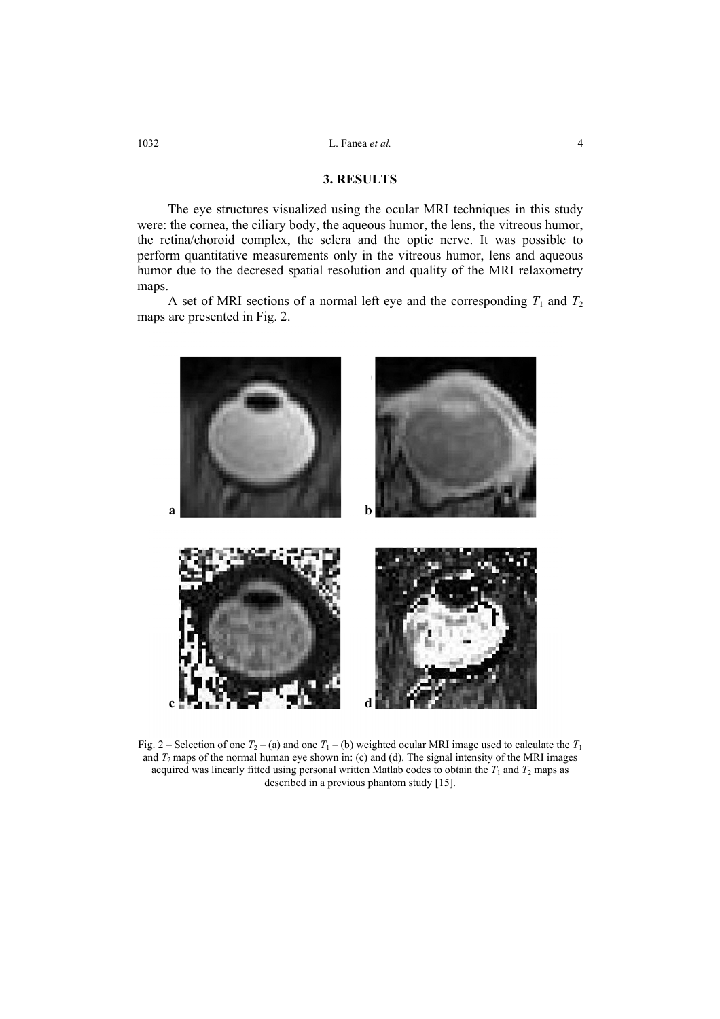# **3. RESULTS**

The eye structures visualized using the ocular MRI techniques in this study were: the cornea, the ciliary body, the aqueous humor, the lens, the vitreous humor, the retina/choroid complex, the sclera and the optic nerve. It was possible to perform quantitative measurements only in the vitreous humor, lens and aqueous humor due to the decresed spatial resolution and quality of the MRI relaxometry maps.

A set of MRI sections of a normal left eye and the corresponding  $T_1$  and  $T_2$ maps are presented in Fig. 2.



Fig. 2 – Selection of one  $T_2$  – (a) and one  $T_1$  – (b) weighted ocular MRI image used to calculate the  $T_1$ and *T*2 maps of the normal human eye shown in: (c) and (d). The signal intensity of the MRI images acquired was linearly fitted using personal written Matlab codes to obtain the  $T_1$  and  $T_2$  maps as described in a previous phantom study [15].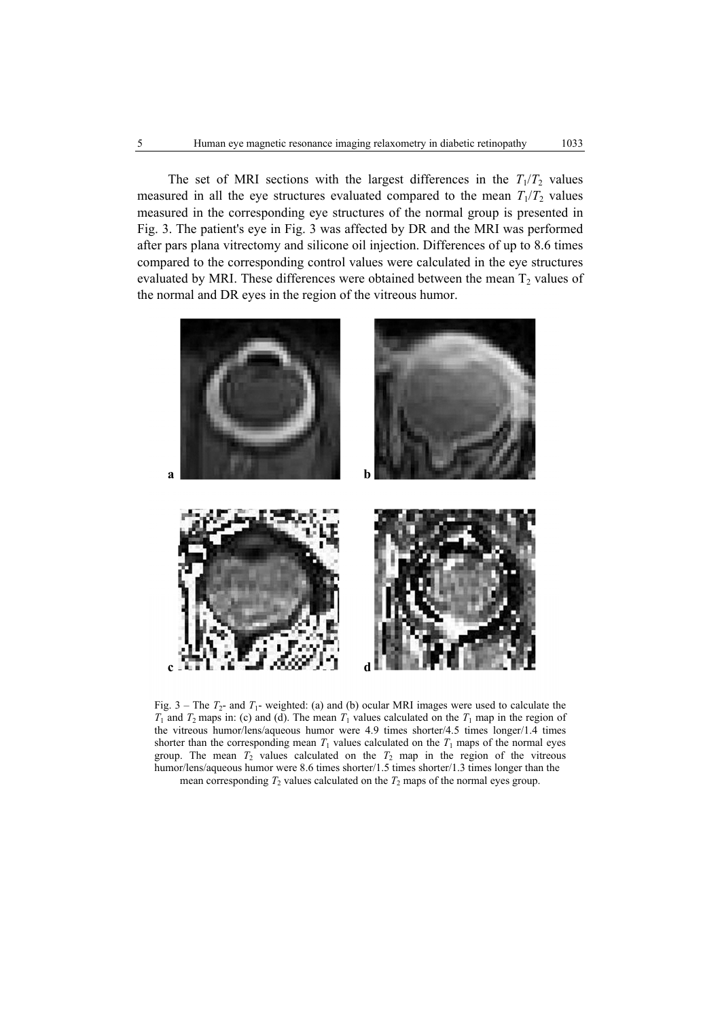The set of MRI sections with the largest differences in the  $T_1/T_2$  values measured in all the eye structures evaluated compared to the mean  $T_1/T_2$  values measured in the corresponding eye structures of the normal group is presented in Fig. 3. The patient's eye in Fig. 3 was affected by DR and the MRI was performed after pars plana vitrectomy and silicone oil injection. Differences of up to 8.6 times compared to the corresponding control values were calculated in the eye structures evaluated by MRI. These differences were obtained between the mean  $T_2$  values of the normal and DR eyes in the region of the vitreous humor.



Fig.  $3$  – The  $T_2$ - and  $T_1$ - weighted: (a) and (b) ocular MRI images were used to calculate the  $T_1$  and  $T_2$  maps in: (c) and (d). The mean  $T_1$  values calculated on the  $T_1$  map in the region of the vitreous humor/lens/aqueous humor were 4.9 times shorter/4.5 times longer/1.4 times shorter than the corresponding mean  $T_1$  values calculated on the  $T_1$  maps of the normal eyes group. The mean  $T_2$  values calculated on the  $T_2$  map in the region of the vitreous humor/lens/aqueous humor were 8.6 times shorter/1.5 times shorter/1.3 times longer than the mean corresponding  $T_2$  values calculated on the  $T_2$  maps of the normal eyes group.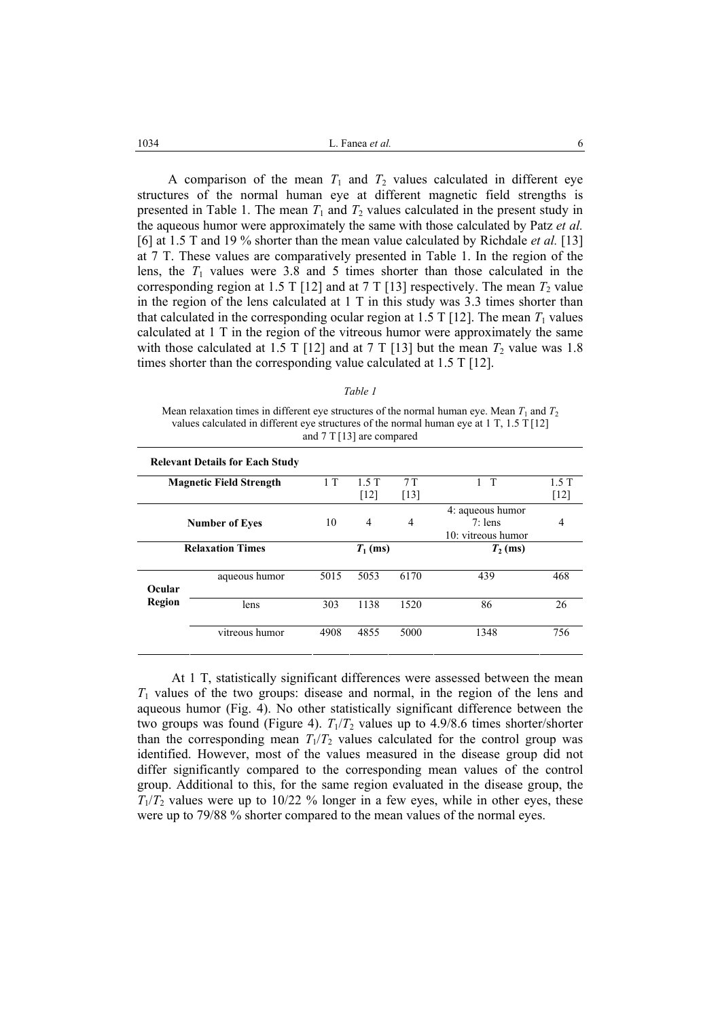$1034$  **et al. et al. et al. et al. et al. et al. 6** 

A comparison of the mean  $T_1$  and  $T_2$  values calculated in different eye structures of the normal human eye at different magnetic field strengths is presented in Table 1. The mean  $T_1$  and  $T_2$  values calculated in the present study in the aqueous humor were approximately the same with those calculated by Patz *et al.*  [6] at 1.5 T and 19 % shorter than the mean value calculated by Richdale *et al.* [13] at 7 T. These values are comparatively presented in Table 1. In the region of the lens, the  $T_1$  values were 3.8 and 5 times shorter than those calculated in the corresponding region at 1.5 T [12] and at 7 T [13] respectively. The mean  $T_2$  value in the region of the lens calculated at 1 T in this study was 3.3 times shorter than that calculated in the corresponding ocular region at 1.5 T [12]. The mean  $T_1$  values calculated at 1 T in the region of the vitreous humor were approximately the same with those calculated at 1.5 T [12] and at 7 T [13] but the mean  $T_2$  value was 1.8 times shorter than the corresponding value calculated at 1.5 T [12].

#### *Table 1*

Mean relaxation times in different eye structures of the normal human eye. Mean  $T_1$  and  $T_2$ values calculated in different eye structures of the normal human eye at 1 T, 1.5 T [12] and 7 T [13] are compared

| <b>Relevant Details for Each Study</b> |                                |            |                |                    |                                                     |        |
|----------------------------------------|--------------------------------|------------|----------------|--------------------|-----------------------------------------------------|--------|
|                                        | <b>Magnetic Field Strength</b> | 1T         | 1.5T           | 7T                 | $\top$                                              | 1.5T   |
|                                        |                                |            | $[12]$         | $\lceil 13 \rceil$ |                                                     | $[12]$ |
| <b>Number of Eyes</b>                  |                                | 10         | $\overline{4}$ | $\overline{4}$     | 4: aqueous humor<br>$7:$ lens<br>10: vitreous humor | 4      |
| <b>Relaxation Times</b>                |                                | $T_1$ (ms) |                |                    | $T_2$ (ms)                                          |        |
| Ocular                                 | aqueous humor                  | 5015       | 5053           | 6170               | 439                                                 | 468    |
| Region                                 | lens                           | 303        | 1138           | 1520               | 86                                                  | 26     |
|                                        | vitreous humor                 | 4908       | 4855           | 5000               | 1348                                                | 756    |

At 1 T, statistically significant differences were assessed between the mean *T*1 values of the two groups: disease and normal, in the region of the lens and aqueous humor (Fig. 4). No other statistically significant difference between the two groups was found (Figure 4).  $T_1/T_2$  values up to 4.9/8.6 times shorter/shorter than the corresponding mean  $T_1/T_2$  values calculated for the control group was identified. However, most of the values measured in the disease group did not differ significantly compared to the corresponding mean values of the control group. Additional to this, for the same region evaluated in the disease group, the  $T_1/T_2$  values were up to 10/22 % longer in a few eyes, while in other eyes, these were up to 79/88 % shorter compared to the mean values of the normal eyes.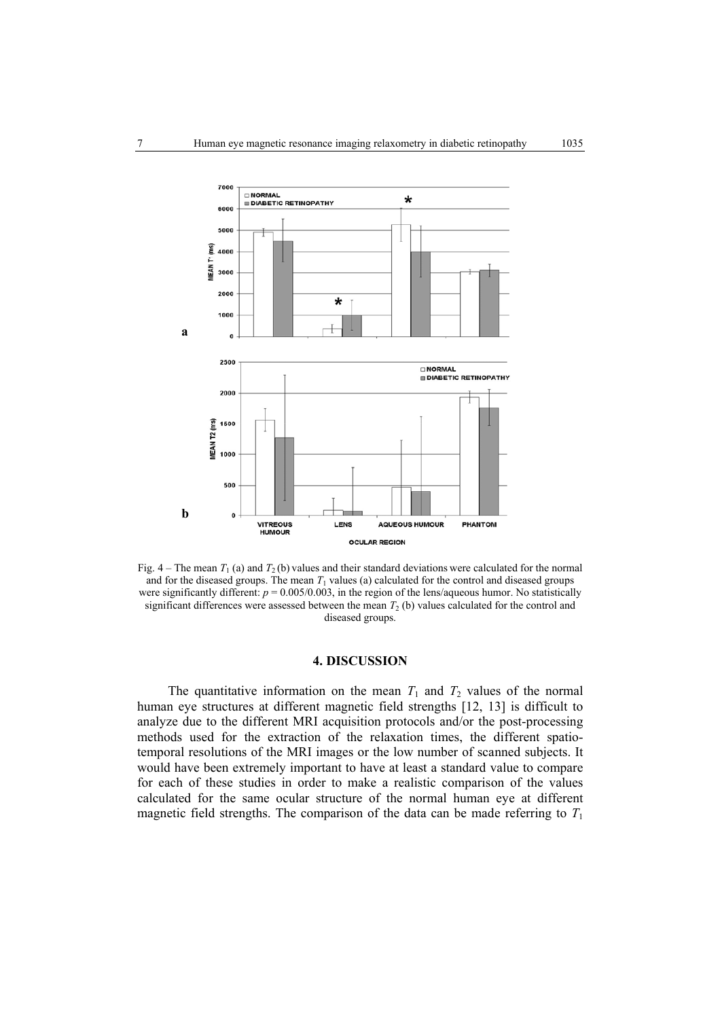

Fig.  $4 -$  The mean  $T_1$  (a) and  $T_2$  (b) values and their standard deviations were calculated for the normal and for the diseased groups. The mean  $T_1$  values (a) calculated for the control and diseased groups were significantly different:  $p = 0.005/0.003$ , in the region of the lens/aqueous humor. No statistically significant differences were assessed between the mean  $T_2$  (b) values calculated for the control and diseased groups.

# **4. DISCUSSION**

The quantitative information on the mean  $T_1$  and  $T_2$  values of the normal human eye structures at different magnetic field strengths [12, 13] is difficult to analyze due to the different MRI acquisition protocols and/or the post-processing methods used for the extraction of the relaxation times, the different spatiotemporal resolutions of the MRI images or the low number of scanned subjects. It would have been extremely important to have at least a standard value to compare for each of these studies in order to make a realistic comparison of the values calculated for the same ocular structure of the normal human eye at different magnetic field strengths. The comparison of the data can be made referring to  $T_1$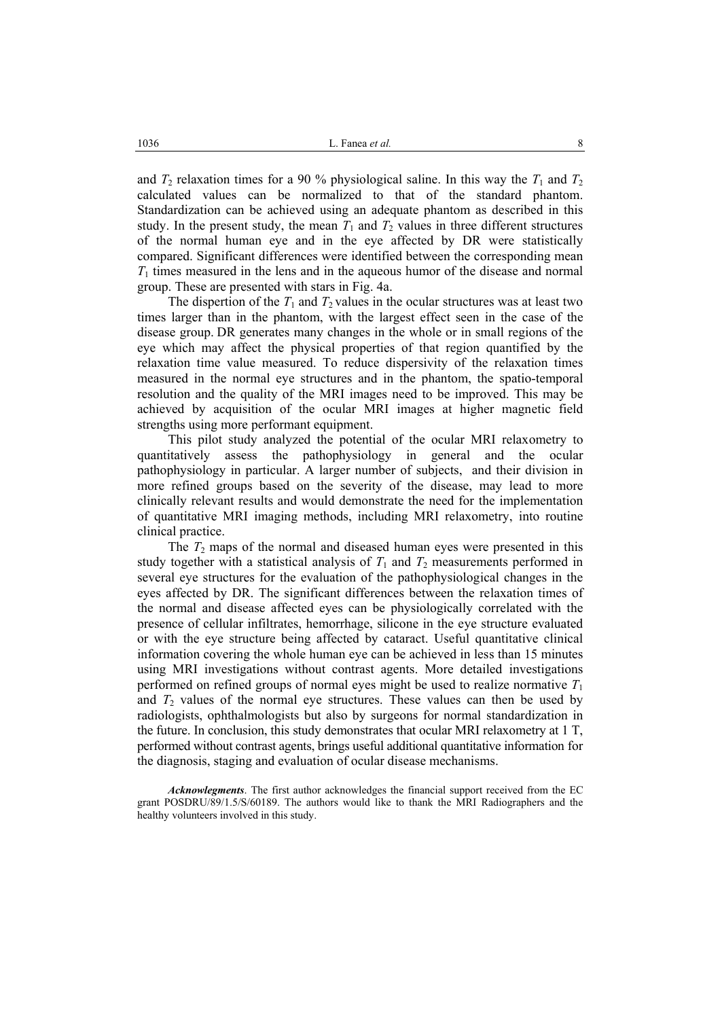and  $T_2$  relaxation times for a 90 % physiological saline. In this way the  $T_1$  and  $T_2$ calculated values can be normalized to that of the standard phantom. Standardization can be achieved using an adequate phantom as described in this study. In the present study, the mean  $T_1$  and  $T_2$  values in three different structures of the normal human eye and in the eye affected by DR were statistically compared. Significant differences were identified between the corresponding mean *T*1 times measured in the lens and in the aqueous humor of the disease and normal group. These are presented with stars in Fig. 4a.

The dispertion of the  $T_1$  and  $T_2$  values in the ocular structures was at least two times larger than in the phantom, with the largest effect seen in the case of the disease group. DR generates many changes in the whole or in small regions of the eye which may affect the physical properties of that region quantified by the relaxation time value measured. To reduce dispersivity of the relaxation times measured in the normal eye structures and in the phantom, the spatio-temporal resolution and the quality of the MRI images need to be improved. This may be achieved by acquisition of the ocular MRI images at higher magnetic field strengths using more performant equipment.

This pilot study analyzed the potential of the ocular MRI relaxometry to quantitatively assess the pathophysiology in general and the ocular pathophysiology in particular. A larger number of subjects, and their division in more refined groups based on the severity of the disease, may lead to more clinically relevant results and would demonstrate the need for the implementation of quantitative MRI imaging methods, including MRI relaxometry, into routine clinical practice.

The  $T_2$  maps of the normal and diseased human eyes were presented in this study together with a statistical analysis of  $T_1$  and  $T_2$  measurements performed in several eye structures for the evaluation of the pathophysiological changes in the eyes affected by DR. The significant differences between the relaxation times of the normal and disease affected eyes can be physiologically correlated with the presence of cellular infiltrates, hemorrhage, silicone in the eye structure evaluated or with the eye structure being affected by cataract. Useful quantitative clinical information covering the whole human eye can be achieved in less than 15 minutes using MRI investigations without contrast agents. More detailed investigations performed on refined groups of normal eyes might be used to realize normative  $T_1$ and  $T_2$  values of the normal eye structures. These values can then be used by radiologists, ophthalmologists but also by surgeons for normal standardization in the future. In conclusion, this study demonstrates that ocular MRI relaxometry at 1 T, performed without contrast agents, brings useful additional quantitative information for the diagnosis, staging and evaluation of ocular disease mechanisms.

*Acknowlegments*. The first author acknowledges the financial support received from the EC grant POSDRU/89/1.5/S/60189. The authors would like to thank the MRI Radiographers and the healthy volunteers involved in this study.